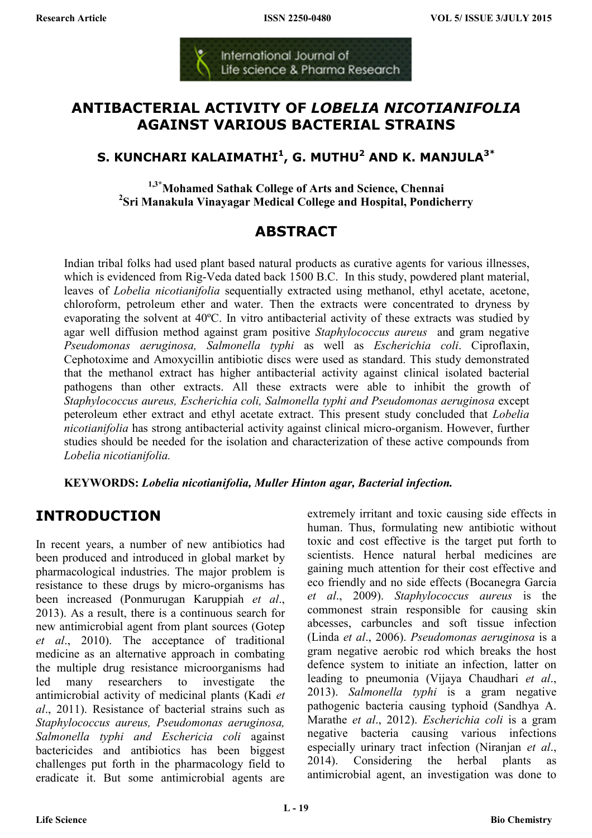International Journal of Life science & Pharma Research

### **ANTIBACTERIAL ACTIVITY OF** *LOBELIA NICOTIANIFOLIA* **AGAINST VARIOUS BACTERIAL STRAINS**

### **S. KUNCHARI KALAIMATHI<sup>1</sup> , G. MUTHU<sup>2</sup> AND K. MANJULA3\***

**1,3\*Mohamed Sathak College of Arts and Science, Chennai 2 Sri Manakula Vinayagar Medical College and Hospital, Pondicherry** 

# **ABSTRACT**

Indian tribal folks had used plant based natural products as curative agents for various illnesses, which is evidenced from Rig-Veda dated back 1500 B.C. In this study, powdered plant material, leaves of *Lobelia nicotianifolia* sequentially extracted using methanol, ethyl acetate, acetone, chloroform, petroleum ether and water. Then the extracts were concentrated to dryness by evaporating the solvent at 40ºC. In vitro antibacterial activity of these extracts was studied by agar well diffusion method against gram positive *Staphylococcus aureus* and gram negative *Pseudomonas aeruginosa, Salmonella typhi* as well as *Escherichia coli*. Ciproflaxin, Cephotoxime and Amoxycillin antibiotic discs were used as standard. This study demonstrated that the methanol extract has higher antibacterial activity against clinical isolated bacterial pathogens than other extracts. All these extracts were able to inhibit the growth of *Staphylococcus aureus, Escherichia coli, Salmonella typhi and Pseudomonas aeruginosa* except peteroleum ether extract and ethyl acetate extract. This present study concluded that *Lobelia nicotianifolia* has strong antibacterial activity against clinical micro-organism. However, further studies should be needed for the isolation and characterization of these active compounds from *Lobelia nicotianifolia.*

**KEYWORDS:** *Lobelia nicotianifolia, Muller Hinton agar, Bacterial infection.* 

# **INTRODUCTION**

In recent years, a number of new antibiotics had been produced and introduced in global market by pharmacological industries. The major problem is resistance to these drugs by micro-organisms has been increased (Ponmurugan Karuppiah *et al*., 2013). As a result, there is a continuous search for new antimicrobial agent from plant sources (Gotep *et al*., 2010). The acceptance of traditional medicine as an alternative approach in combating the multiple drug resistance microorganisms had led many researchers to investigate the antimicrobial activity of medicinal plants (Kadi *et al*., 2011). Resistance of bacterial strains such as *Staphylococcus aureus, Pseudomonas aeruginosa, Salmonella typhi and Eschericia coli* against bactericides and antibiotics has been biggest challenges put forth in the pharmacology field to eradicate it. But some antimicrobial agents are

extremely irritant and toxic causing side effects in human. Thus, formulating new antibiotic without toxic and cost effective is the target put forth to scientists. Hence natural herbal medicines are gaining much attention for their cost effective and eco friendly and no side effects (Bocanegra Garcia *et al*., 2009). *Staphylococcus aureus* is the commonest strain responsible for causing skin abcesses, carbuncles and soft tissue infection (Linda *et al*., 2006). *Pseudomonas aeruginosa* is a gram negative aerobic rod which breaks the host defence system to initiate an infection, latter on leading to pneumonia (Vijaya Chaudhari *et al*., 2013). *Salmonella typhi* is a gram negative pathogenic bacteria causing typhoid (Sandhya A. Marathe *et al*., 2012). *Escherichia coli* is a gram negative bacteria causing various infections especially urinary tract infection (Niranjan *et al*., 2014). Considering the herbal plants as antimicrobial agent, an investigation was done to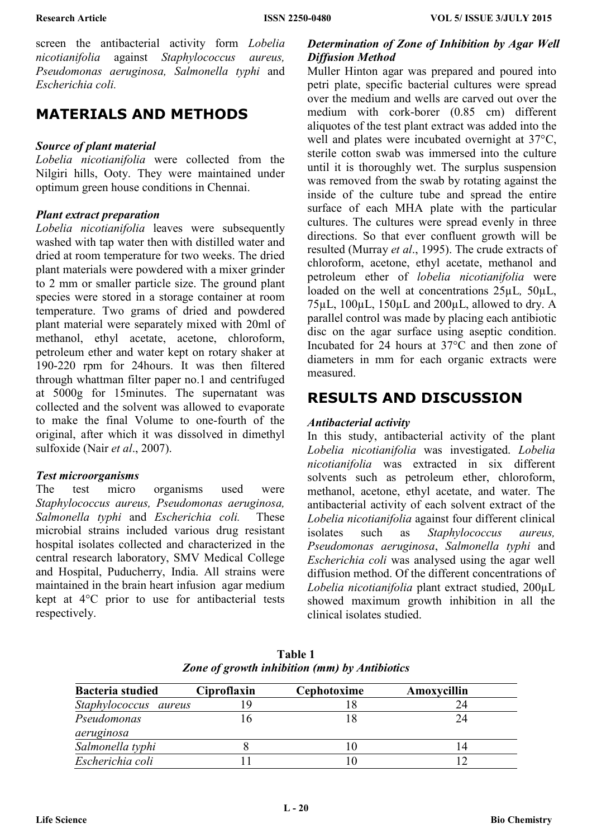screen the antibacterial activity form *Lobelia nicotianifolia* against *Staphylococcus aureus, Pseudomonas aeruginosa, Salmonella typhi* and *Escherichia coli.* 

### **MATERIALS AND METHODS**

#### *Source of plant material*

*Lobelia nicotianifolia* were collected from the Nilgiri hills, Ooty. They were maintained under optimum green house conditions in Chennai.

#### *Plant extract preparation*

*Lobelia nicotianifolia* leaves were subsequently washed with tap water then with distilled water and dried at room temperature for two weeks. The dried plant materials were powdered with a mixer grinder to 2 mm or smaller particle size. The ground plant species were stored in a storage container at room temperature. Two grams of dried and powdered plant material were separately mixed with 20ml of methanol, ethyl acetate, acetone, chloroform, petroleum ether and water kept on rotary shaker at 190-220 rpm for 24hours. It was then filtered through whattman filter paper no.1 and centrifuged at 5000g for 15minutes. The supernatant was collected and the solvent was allowed to evaporate to make the final Volume to one-fourth of the original, after which it was dissolved in dimethyl sulfoxide (Nair *et al*., 2007).

#### *Test microorganisms*

The test micro organisms used were *Staphylococcus aureus, Pseudomonas aeruginosa, Salmonella typhi* and *Escherichia coli.* These microbial strains included various drug resistant hospital isolates collected and characterized in the central research laboratory, SMV Medical College and Hospital, Puducherry, India. All strains were maintained in the brain heart infusion agar medium kept at 4°C prior to use for antibacterial tests respectively.

#### *Determination of Zone of Inhibition by Agar Well Diffusion Method*

Muller Hinton agar was prepared and poured into petri plate, specific bacterial cultures were spread over the medium and wells are carved out over the medium with cork-borer (0.85 cm) different aliquotes of the test plant extract was added into the well and plates were incubated overnight at 37°C, sterile cotton swab was immersed into the culture until it is thoroughly wet. The surplus suspension was removed from the swab by rotating against the inside of the culture tube and spread the entire surface of each MHA plate with the particular cultures. The cultures were spread evenly in three directions. So that ever confluent growth will be resulted (Murray *et al*., 1995). The crude extracts of chloroform, acetone, ethyl acetate, methanol and petroleum ether of *lobelia nicotianifolia* were loaded on the well at concentrations 25µL*,* 50µL, 75µL, 100µL, 150µL and 200µL, allowed to dry. A parallel control was made by placing each antibiotic disc on the agar surface using aseptic condition. Incubated for 24 hours at 37°C and then zone of diameters in mm for each organic extracts were measured.

### **RESULTS AND DISCUSSION**

#### *Antibacterial activity*

In this study, antibacterial activity of the plant *Lobelia nicotianifolia* was investigated. *Lobelia nicotianifolia* was extracted in six different solvents such as petroleum ether, chloroform, methanol, acetone, ethyl acetate, and water. The antibacterial activity of each solvent extract of the *Lobelia nicotianifolia* against four different clinical isolates such as *Staphylococcus aureus, Pseudomonas aeruginosa*, *Salmonella typhi* and *Escherichia coli* was analysed using the agar well diffusion method. Of the different concentrations of *Lobelia nicotianifolia* plant extract studied, 200µL showed maximum growth inhibition in all the clinical isolates studied.

| <b>Bacteria studied</b> | <b>Ciproflaxin</b> | Cephotoxime | Amoxycillin |
|-------------------------|--------------------|-------------|-------------|
| Staphylococcus aureus   |                    |             |             |
| Pseudomonas             |                    |             | 24          |
| aeruginosa              |                    |             |             |
| Salmonella typhi        |                    | I ()        |             |
| Escherichia coli        |                    |             |             |

**Table 1**  *Zone of growth inhibition (mm) by Antibiotics*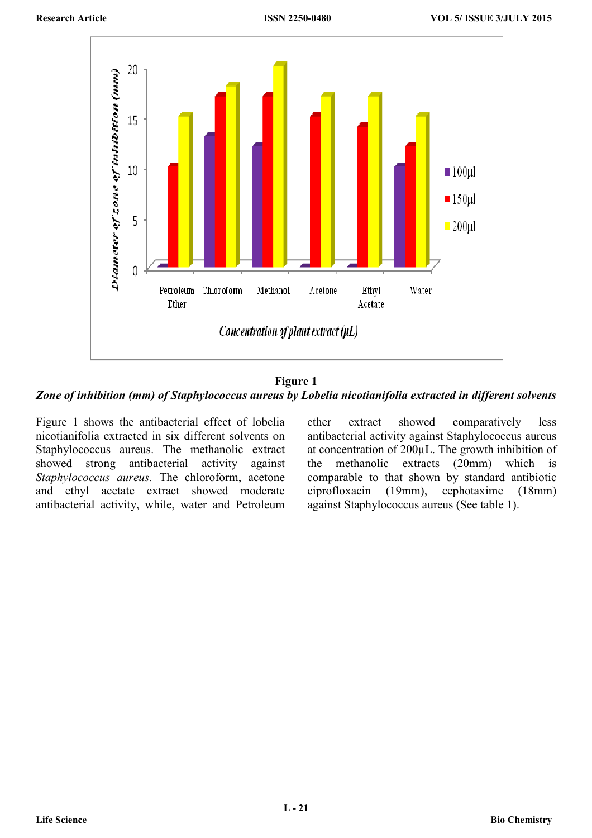

**Figure 1**  *Zone of inhibition (mm) of Staphylococcus aureus by Lobelia nicotianifolia extracted in different solvents* 

Figure 1 shows the antibacterial effect of lobelia nicotianifolia extracted in six different solvents on Staphylococcus aureus. The methanolic extract showed strong antibacterial activity against *Staphylococcus aureus.* The chloroform, acetone and ethyl acetate extract showed moderate antibacterial activity, while, water and Petroleum

ether extract showed comparatively less antibacterial activity against Staphylococcus aureus at concentration of 200µL. The growth inhibition of the methanolic extracts (20mm) which is comparable to that shown by standard antibiotic ciprofloxacin (19mm), cephotaxime (18mm) against Staphylococcus aureus (See table 1).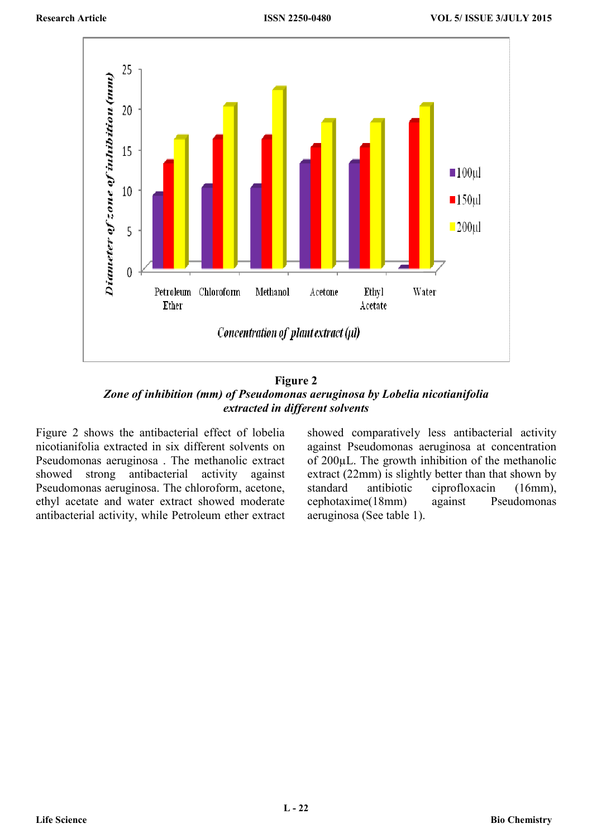

**Figure 2**  *Zone of inhibition (mm) of Pseudomonas aeruginosa by Lobelia nicotianifolia extracted in different solvents* 

Figure 2 shows the antibacterial effect of lobelia nicotianifolia extracted in six different solvents on Pseudomonas aeruginosa . The methanolic extract showed strong antibacterial activity against Pseudomonas aeruginosa. The chloroform, acetone, ethyl acetate and water extract showed moderate antibacterial activity, while Petroleum ether extract

showed comparatively less antibacterial activity against Pseudomonas aeruginosa at concentration of 200µL. The growth inhibition of the methanolic extract (22mm) is slightly better than that shown by standard antibiotic ciprofloxacin (16mm), cephotaxime(18mm) against Pseudomonas aeruginosa (See table 1).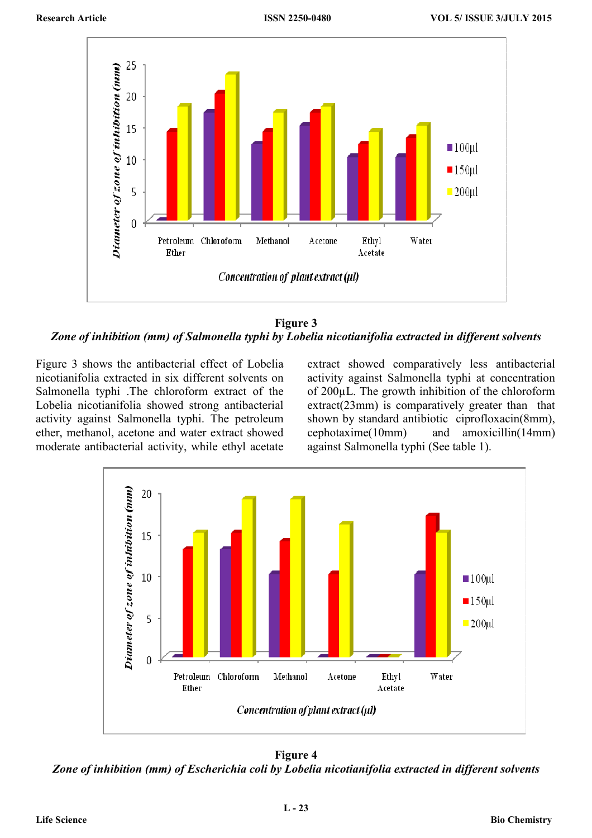

**Figure 3**  *Zone of inhibition (mm) of Salmonella typhi by Lobelia nicotianifolia extracted in different solvents* 

Figure 3 shows the antibacterial effect of Lobelia nicotianifolia extracted in six different solvents on Salmonella typhi .The chloroform extract of the Lobelia nicotianifolia showed strong antibacterial activity against Salmonella typhi. The petroleum ether, methanol, acetone and water extract showed moderate antibacterial activity, while ethyl acetate

extract showed comparatively less antibacterial activity against Salmonella typhi at concentration of 200µL. The growth inhibition of the chloroform extract(23mm) is comparatively greater than that shown by standard antibiotic ciprofloxacin(8mm), cephotaxime(10mm) and amoxicillin(14mm) against Salmonella typhi (See table 1).



**Figure 4**  *Zone of inhibition (mm) of Escherichia coli by Lobelia nicotianifolia extracted in different solvents*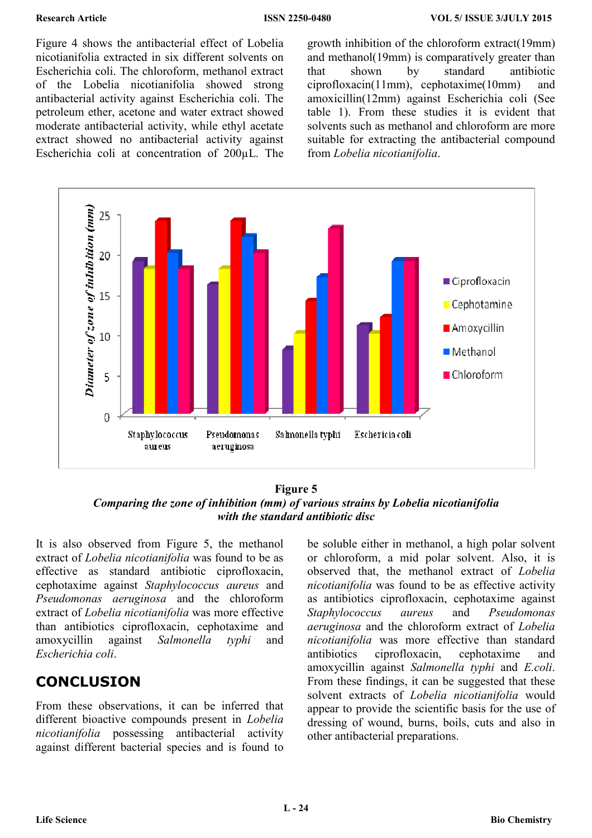Figure 4 shows the antibacterial effect of Lobelia nicotianifolia extracted in six different solvents on Escherichia coli. The chloroform, methanol extract of the Lobelia nicotianifolia showed strong antibacterial activity against Escherichia coli. The petroleum ether, acetone and water extract showed moderate antibacterial activity, while ethyl acetate extract showed no antibacterial activity against Escherichia coli at concentration of 200µL. The

growth inhibition of the chloroform extract(19mm) and methanol(19mm) is comparatively greater than that shown by standard antibiotic ciprofloxacin(11mm), cephotaxime(10mm) and amoxicillin(12mm) against Escherichia coli (See table 1). From these studies it is evident that solvents such as methanol and chloroform are more suitable for extracting the antibacterial compound from *Lobelia nicotianifolia*.



**Figure 5**  *Comparing the zone of inhibition (mm) of various strains by Lobelia nicotianifolia with the standard antibiotic disc* 

It is also observed from Figure 5, the methanol extract of *Lobelia nicotianifolia* was found to be as effective as standard antibiotic ciprofloxacin, cephotaxime against *Staphylococcus aureus* and *Pseudomonas aeruginosa* and the chloroform extract of *Lobelia nicotianifolia* was more effective than antibiotics ciprofloxacin, cephotaxime and amoxycillin against *Salmonella typhi* and *Escherichia coli*.

# **CONCLUSION**

From these observations, it can be inferred that different bioactive compounds present in *Lobelia nicotianifolia* possessing antibacterial activity against different bacterial species and is found to be soluble either in methanol, a high polar solvent or chloroform, a mid polar solvent. Also, it is observed that, the methanol extract of *Lobelia nicotianifolia* was found to be as effective activity as antibiotics ciprofloxacin, cephotaxime against *Staphylococcus aureus* and *Pseudomonas aeruginosa* and the chloroform extract of *Lobelia nicotianifolia* was more effective than standard antibiotics ciprofloxacin, cephotaxime and amoxycillin against *Salmonella typhi* and *E.coli*. From these findings, it can be suggested that these solvent extracts of *Lobelia nicotianifolia* would appear to provide the scientific basis for the use of dressing of wound, burns, boils, cuts and also in other antibacterial preparations.